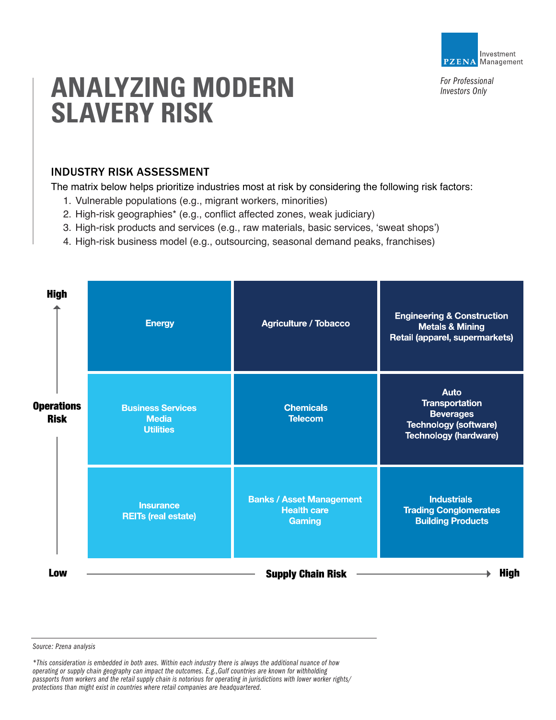

*For Professional Investors Only*

# **ANALYZING MODERN SLAVERY RISK**

# INDUSTRY RISK ASSESSMENT

The matrix below helps prioritize industries most at risk by considering the following risk factors:

- 1. Vulnerable populations (e.g., migrant workers, minorities)
- 2. High-risk geographies\* (e.g., conflict affected zones, weak judiciary)
- 3. High-risk products and services (e.g., raw materials, basic services, 'sweat shops')
- 4. High-risk business model (e.g., outsourcing, seasonal demand peaks, franchises)

| <b>High</b>                      | <b>Energy</b>                                                | <b>Agriculture / Tobacco</b>                                    | <b>Engineering &amp; Construction</b><br><b>Metals &amp; Mining</b><br>Retail (apparel, supermarkets)                    |
|----------------------------------|--------------------------------------------------------------|-----------------------------------------------------------------|--------------------------------------------------------------------------------------------------------------------------|
| <b>Operations</b><br><b>Risk</b> | <b>Business Services</b><br><b>Media</b><br><b>Utilities</b> | <b>Chemicals</b><br><b>Telecom</b>                              | <b>Auto</b><br><b>Transportation</b><br><b>Beverages</b><br><b>Technology (software)</b><br><b>Technology (hardware)</b> |
|                                  | <b>Insurance</b><br><b>REITs (real estate)</b>               | <b>Banks / Asset Management</b><br><b>Health care</b><br>Gaming | <b>Industrials</b><br><b>Trading Conglomerates</b><br><b>Building Products</b>                                           |
| Low                              |                                                              | <b>Supply Chain Risk</b>                                        | <b>High</b>                                                                                                              |

*Source: Pzena analysis*

*\*This consideration is embedded in both axes. Within each industry there is always the additional nuance of how operating or supply chain geography can impact the outcomes. E.g.,Gulf countries are known for withholding passports from workers and the retail supply chain is notorious for operating in jurisdictions with lower worker rights/ protections than might exist in countries where retail companies are headquartered.*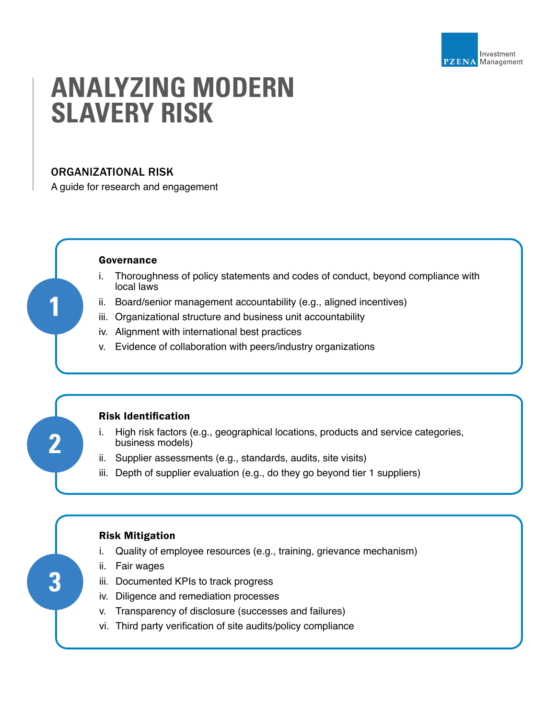

# **ANALYZING MODERN SLAVERY RISK**

## ORGANIZATIONAL RISK

A guide for research and engagement

#### Governance

- i. Thoroughness of policy statements and codes of conduct, beyond compliance with local laws
- ii. Board/senior management accountability (e.g., aligned incentives)
- iii. Organizational structure and business unit accountability
- iv. Alignment with international best practices
- v. Evidence of collaboration with peers/industry organizations

# **2**

**3**

**1**

## Risk Identification

- i. High risk factors (e.g., geographical locations, products and service categories, business models)
- ii. Supplier assessments (e.g., standards, audits, site visits)
- iii. Depth of supplier evaluation (e.g., do they go beyond tier 1 suppliers)

### Risk Mitigation

- i. Quality of employee resources (e.g., training, grievance mechanism)
- ii. Fair wages
- iii. Documented KPIs to track progress
- iv. Diligence and remediation processes
- v. Transparency of disclosure (successes and failures)
- vi. Third party verification of site audits/policy compliance